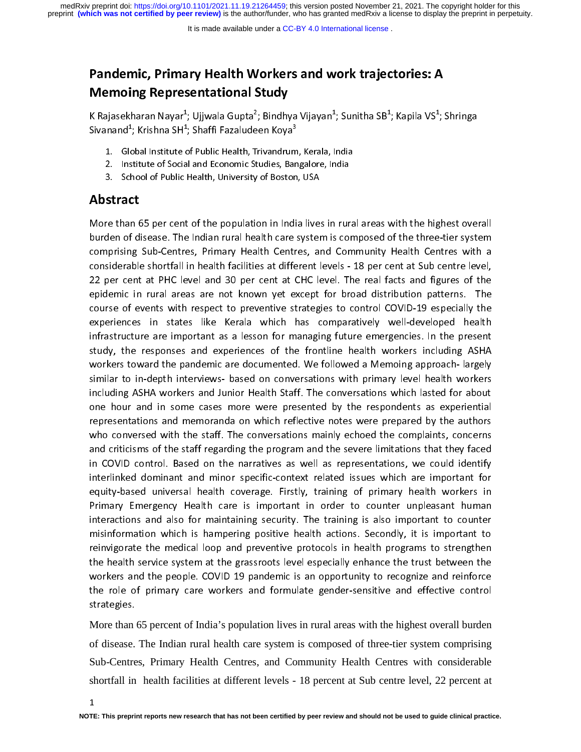preprint **(which was not certified by peer review)** is the author/funder, who has granted medRxiv a license to display the preprint in perpetuity. medRxiv preprint doi: [https://doi.org/10.1101/2021.11.19.21264459;](https://doi.org/10.1101/2021.11.19.21264459) this version posted November 21, 2021. The copyright holder for this

# Pandemic, Primary Health Workers and work trajectories: A Memoing Representational Study

K Rajasekharan Nayar ; Ujjwala Gupta ; Bindhya Vijayan ; Sunitha SB ; Kapila VS ; Shringa<br>si Sivanand<sup>–</sup>; Krishna SH<sup>–</sup>; Shaffi Fazaludeen Koya<sup>-</sup>

- 1. Global Institute of Public Health, Trivandrum, Kerala, India<br>2. Institute of Social and Economic Studies, Bangalore, India
- 2. Institute of Social and Economic Studies, Bangalore, India
- 3. School of Public Health, University of Boston, USA

### Abstract

More than 65 per cent of the population in India lives in rural areas with the highest overall comprising Sub-Centres, Primary Health Centres, and Community Health Centres with a considerable shortfall in health facilities at different levels - 18 per cent at Sub centre level, considerable shortfall in health facilities at different levels - 18 per cent at Sub centre level, 22 per cent at PHC level and 30 per cent at CHC level. The real facts and figures of the epidemic in rural areas are not known yet except for broad distribution patterns. The<br>course of events with respect to preventive strategies to control COVID-19 especially the course of events with respect to preventive strategies to control COVID-19 especially the experiences in states like Kerala which has comparatively well-developed health infrastructure are important as a lesson for managing future emergencies. In the present study, the responses and experiences of the frontline health workers including ASHA workers toward the pandemic are documented. We followed a Memoing approach- largely similar to in-depth interviews- based on conversations with primary level health workers including ASHA workers and Junior Health Staff. The conversations which lasted for about one hour and in some cases more were presented by the respondents as experiential representations and memoranda on which reflective notes were prepared by the authors who conversed with the staff. The conversations mainly echoed the complaints, concerns and criticisms of the staff regarding the program and the severe limitations that they faced in COVID control. Based on the narratives as well as representations, we could identify<br>interlinked dominant and minor specific-context related issues which are important for interlinked dominant and minor specific-context related issues which are important for equity-based universal health coverage. Firstly, training of primary health workers in Primary Emergency Health care is important in order to counter unpleasant human interactions and also for maintaining security. The training is also important to counter misinformation which is hampering positive health actions. Secondly, it is important to reinvigorate the medical loop and preventive protocols in health programs to strengthen the health service system at the grassroots level especially enhance the trust between the<br>workers and the people. COVID 19 pandemic is an opportunity to recognize and reinforce workers and the people. COVID 19 pandemic is an opportunity to recognize and reinforce the role of primary care workers and formulate gender-sensitive and effective control strategies.

More than 65 percent of India's population lives in rural areas with the highest overall burden of disease. The Indian rural health care system is composed of three-tier system comprising Sub-Centres, Primary Health Centres, and Community Health Centres with considerable shortfall in health facilities at different levels - 18 percent at Sub centre level, 22 percent at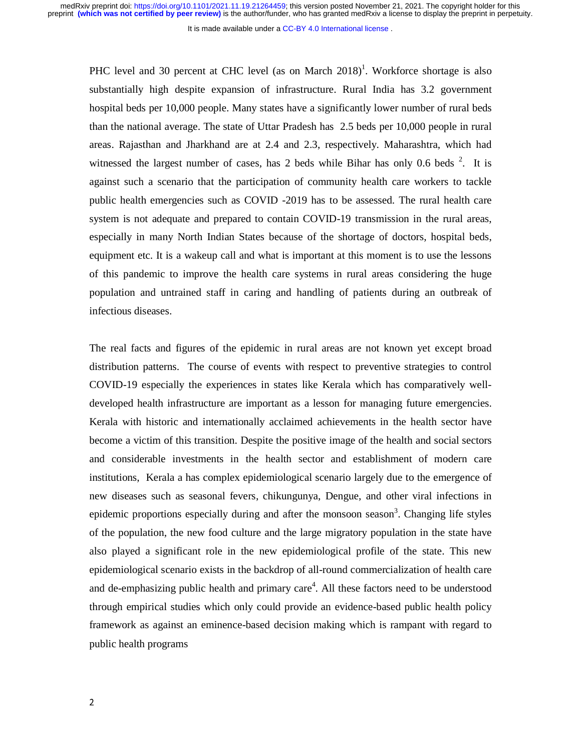It is made available under a CC-BY 4.0 International license.

PHC level and 30 percent at CHC level (as on March  $2018$ )<sup>1</sup>. Workforce shortage is also substantially high despite expansion of infrastructure. Rural India has 3.2 government hospital beds per 10,000 people. Many states have a significantly lower number of rural beds than the national average. The state of Uttar Pradesh has 2.5 beds per 10,000 people in rural areas. Rajasthan and Jharkhand are at 2.4 and 2.3, respectively. Maharashtra, which had witnessed the largest number of cases, has 2 beds while Bihar has only 0.6 beds  $2$ . It is against such a scenario that the participation of community health care workers to tackle public health emergencies such as COVID -2019 has to be assessed. The rural health care system is not adequate and prepared to contain COVID-19 transmission in the rural areas, especially in many North Indian States because of the shortage of doctors, hospital beds, equipment etc. It is a wakeup call and what is important at this moment is to use the lessons of this pandemic to improve the health care systems in rural areas considering the huge population and untrained staff in caring and handling of patients during an outbreak of infectious diseases.

The real facts and figures of the epidemic in rural areas are not known yet except broad distribution patterns. The course of events with respect to preventive strategies to control COVID-19 especially the experiences in states like Kerala which has comparatively welldeveloped health infrastructure are important as a lesson for managing future emergencies. Kerala with historic and internationally acclaimed achievements in the health sector have become a victim of this transition. Despite the positive image of the health and social sectors and considerable investments in the health sector and establishment of modern care institutions, Kerala a has complex epidemiological scenario largely due to the emergence of new diseases such as seasonal fevers, chikungunya, Dengue, and other viral infections in epidemic proportions especially during and after the monsoon season<sup>3</sup>. Changing life styles of the population, the new food culture and the large migratory population in the state have also played a significant role in the new epidemiological profile of the state. This new epidemiological scenario exists in the backdrop of all-round commercialization of health care and de-emphasizing public health and primary care<sup>4</sup>. All these factors need to be understood through empirical studies which only could provide an evidence-based public health policy framework as against an eminence-based decision making which is rampant with regard to public health programs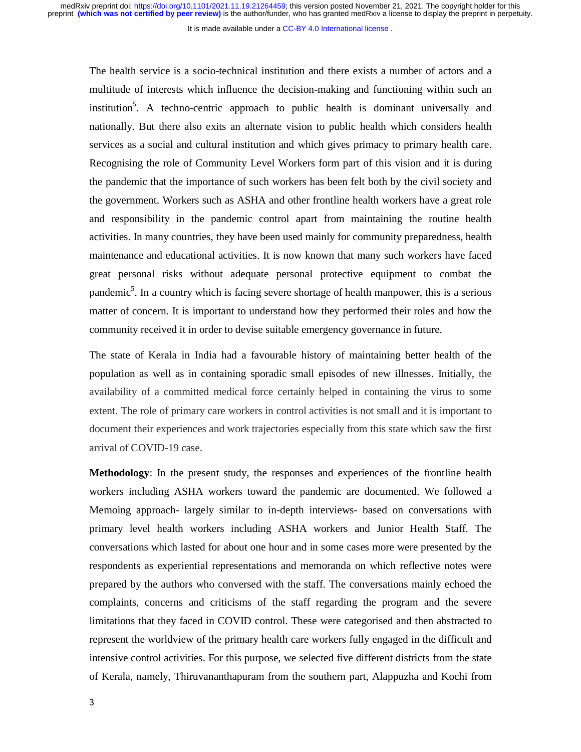It is made available under a CC-BY 4.0 International license.

The health service is a socio-technical institution and there exists a number of actors and a multitude of interests which influence the decision-making and functioning within such an institution<sup>5</sup>. A techno-centric approach to public health is dominant universally and nationally. But there also exits an alternate vision to public health which considers health services as a social and cultural institution and which gives primacy to primary health care. Recognising the role of Community Level Workers form part of this vision and it is during the pandemic that the importance of such workers has been felt both by the civil society and the government. Workers such as ASHA and other frontline health workers have a great role and responsibility in the pandemic control apart from maintaining the routine health activities. In many countries, they have been used mainly for community preparedness, health maintenance and educational activities. It is now known that many such workers have faced great personal risks without adequate personal protective equipment to combat the pandemic<sup>5</sup>. In a country which is facing severe shortage of health manpower, this is a serious matter of concern. It is important to understand how they performed their roles and how the community received it in order to devise suitable emergency governance in future.

The state of Kerala in India had a favourable history of maintaining better health of the population as well as in containing sporadic small episodes of new illnesses. Initially, the availability of a committed medical force certainly helped in containing the virus to some extent. The role of primary care workers in control activities is not small and it is important to document their experiences and work trajectories especially from this state which saw the first arrival of COVID-19 case.

**Methodology**: In the present study, the responses and experiences of the frontline health workers including ASHA workers toward the pandemic are documented. We followed a Memoing approach- largely similar to in-depth interviews- based on conversations with primary level health workers including ASHA workers and Junior Health Staff. The conversations which lasted for about one hour and in some cases more were presented by the respondents as experiential representations and memoranda on which reflective notes were prepared by the authors who conversed with the staff. The conversations mainly echoed the complaints, concerns and criticisms of the staff regarding the program and the severe limitations that they faced in COVID control. These were categorised and then abstracted to represent the worldview of the primary health care workers fully engaged in the difficult and intensive control activities. For this purpose, we selected five different districts from the state of Kerala, namely, Thiruvananthapuram from the southern part, Alappuzha and Kochi from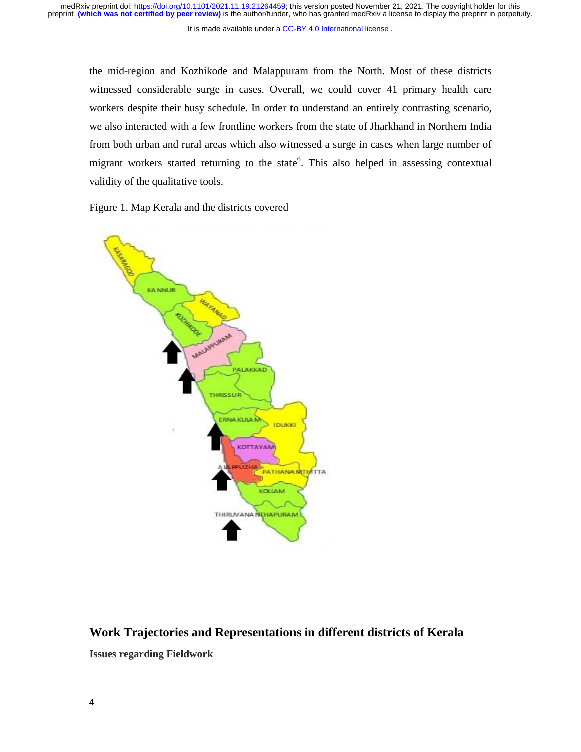It is made available under a CC-BY 4.0 International license.

the mid-region and Kozhikode and Malappuram from the North. Most of these districts witnessed considerable surge in cases. Overall, we could cover 41 primary health care workers despite their busy schedule. In order to understand an entirely contrasting scenario, we also interacted with a few frontline workers from the state of Jharkhand in Northern India from both urban and rural areas which also witnessed a surge in cases when large number of migrant workers started returning to the state<sup>6</sup>. This also helped in assessing contextual validity of the qualitative tools.

Figure 1. Map Kerala and the districts covered



# **Work Trajectories and Representations in different districts of Kerala Issues regarding Fieldwork**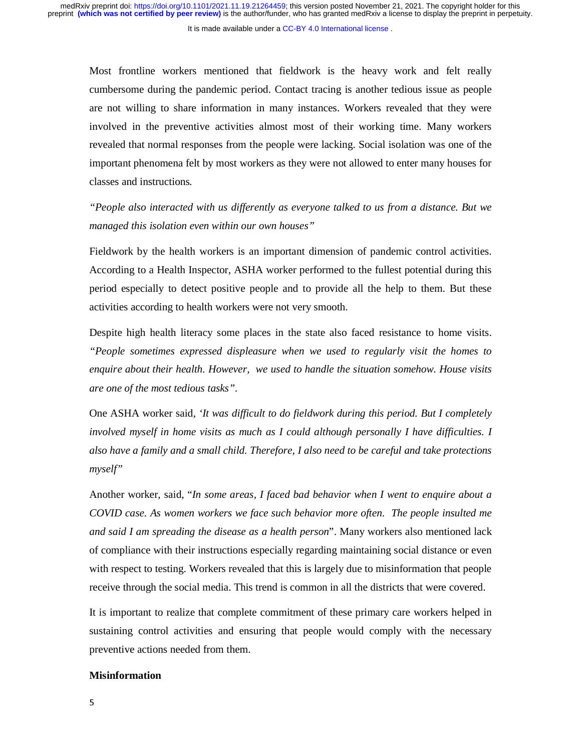Most frontline workers mentioned that fieldwork is the heavy work and felt really cumbersome during the pandemic period. Contact tracing is another tedious issue as people are not willing to share information in many instances. Workers revealed that they were involved in the preventive activities almost most of their working time. Many workers revealed that normal responses from the people were lacking. Social isolation was one of the important phenomena felt by most workers as they were not allowed to enter many houses for classes and instructions*.* 

*"People also interacted with us differently as everyone talked to us from a distance. But we managed this isolation even within our own houses"* 

Fieldwork by the health workers is an important dimension of pandemic control activities. According to a Health Inspector, ASHA worker performed to the fullest potential during this period especially to detect positive people and to provide all the help to them. But these activities according to health workers were not very smooth.

Despite high health literacy some places in the state also faced resistance to home visits. *"People sometimes expressed displeasure when we used to regularly visit the homes to enquire about their health. However, we used to handle the situation somehow. House visits are one of the most tedious tasks".* 

One ASHA worker said, *'It was difficult to do fieldwork during this period. But I completely involved myself in home visits as much as I could although personally I have difficulties. I also have a family and a small child. Therefore, I also need to be careful and take protections myself"* 

Another worker, said, "*In some areas, I faced bad behavior when I went to enquire about a COVID case. As women workers we face such behavior more often. The people insulted me and said I am spreading the disease as a health person*". Many workers also mentioned lack of compliance with their instructions especially regarding maintaining social distance or even with respect to testing. Workers revealed that this is largely due to misinformation that people receive through the social media. This trend is common in all the districts that were covered.

It is important to realize that complete commitment of these primary care workers helped in sustaining control activities and ensuring that people would comply with the necessary preventive actions needed from them.

#### **Misinformation**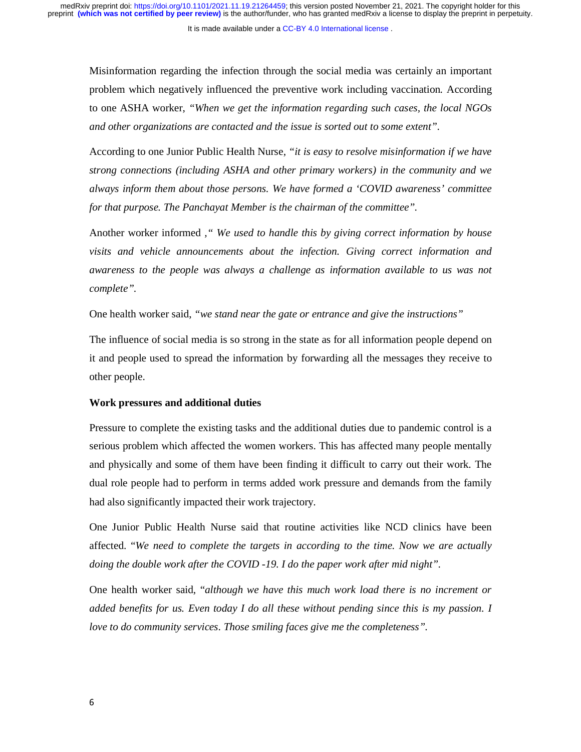Misinformation regarding the infection through the social media was certainly an important problem which negatively influenced the preventive work including vaccination*.* According to one ASHA worker, *"When we get the information regarding such cases, the local NGOs and other organizations are contacted and the issue is sorted out to some extent".* 

According to one Junior Public Health Nurse, *"it is easy to resolve misinformation if we have strong connections (including ASHA and other primary workers) in the community and we always inform them about those persons. We have formed a 'COVID awareness' committee for that purpose. The Panchayat Member is the chairman of the committee".* 

Another worker informed *," We used to handle this by giving correct information by house visits and vehicle announcements about the infection. Giving correct information and awareness to the people was always a challenge as information available to us was not complete".* 

One health worker said, *"we stand near the gate or entrance and give the instructions"*

The influence of social media is so strong in the state as for all information people depend on it and people used to spread the information by forwarding all the messages they receive to other people.

#### **Work pressures and additional duties**

Pressure to complete the existing tasks and the additional duties due to pandemic control is a serious problem which affected the women workers. This has affected many people mentally and physically and some of them have been finding it difficult to carry out their work. The dual role people had to perform in terms added work pressure and demands from the family had also significantly impacted their work trajectory.

One Junior Public Health Nurse said that routine activities like NCD clinics have been affected. "*We need to complete the targets in according to the time. Now we are actually doing the double work after the COVID -19. I do the paper work after mid night".* 

One health worker said, "*although we have this much work load there is no increment or added benefits for us. Even today I do all these without pending since this is my passion. I love to do community services. Those smiling faces give me the completeness".*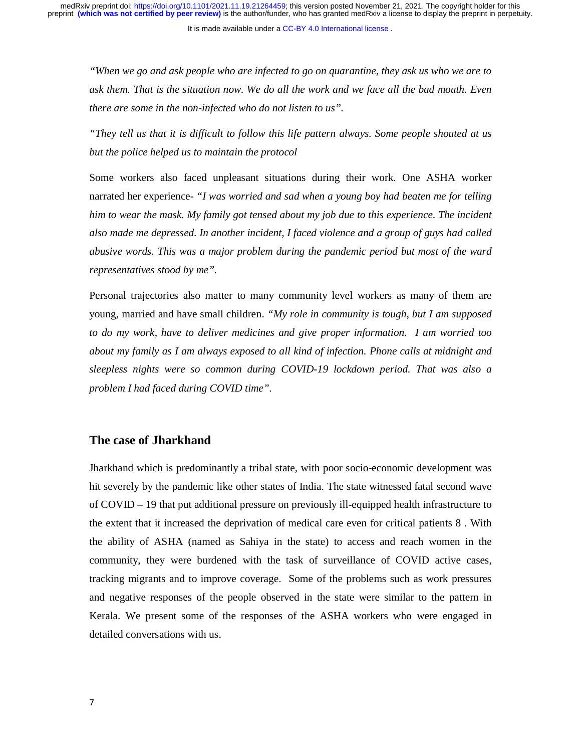*"When we go and ask people who are infected to go on quarantine, they ask us who we are to ask them. That is the situation now. We do all the work and we face all the bad mouth. Even there are some in the non-infected who do not listen to us".* 

*"They tell us that it is difficult to follow this life pattern always. Some people shouted at us but the police helped us to maintain the protocol*

Some workers also faced unpleasant situations during their work. One ASHA worker narrated her experience- *"I was worried and sad when a young boy had beaten me for telling him to wear the mask. My family got tensed about my job due to this experience. The incident also made me depressed. In another incident, I faced violence and a group of guys had called abusive words. This was a major problem during the pandemic period but most of the ward representatives stood by me".* 

Personal trajectories also matter to many community level workers as many of them are young, married and have small children. *"My role in community is tough, but I am supposed to do my work, have to deliver medicines and give proper information. I am worried too about my family as I am always exposed to all kind of infection. Phone calls at midnight and sleepless nights were so common during COVID-19 lockdown period. That was also a problem I had faced during COVID time".* 

#### **The case of Jharkhand**

Jharkhand which is predominantly a tribal state, with poor socio-economic development was hit severely by the pandemic like other states of India. The state witnessed fatal second wave of COVID – 19 that put additional pressure on previously ill-equipped health infrastructure to the extent that it increased the deprivation of medical care even for critical patients 8 . With the ability of ASHA (named as Sahiya in the state) to access and reach women in the community, they were burdened with the task of surveillance of COVID active cases, tracking migrants and to improve coverage. Some of the problems such as work pressures and negative responses of the people observed in the state were similar to the pattern in Kerala. We present some of the responses of the ASHA workers who were engaged in detailed conversations with us.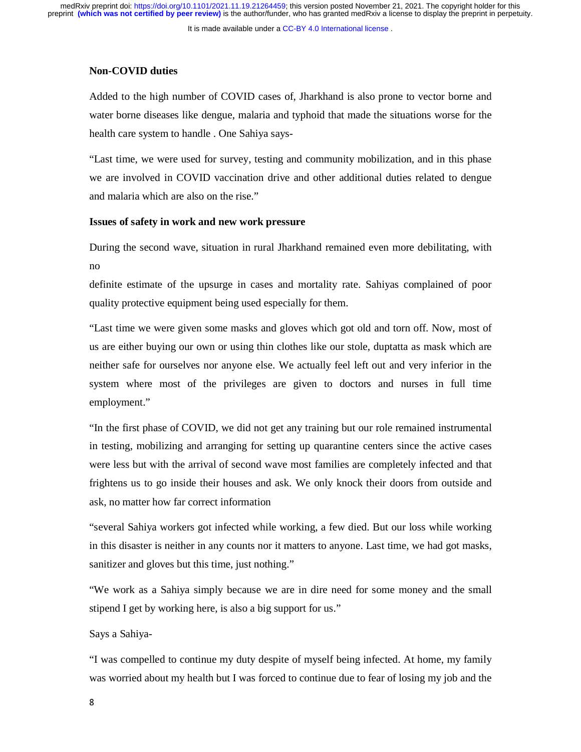#### **Non-COVID duties**

Added to the high number of COVID cases of, Jharkhand is also prone to vector borne and water borne diseases like dengue, malaria and typhoid that made the situations worse for the health care system to handle . One Sahiya says-

"Last time, we were used for survey, testing and community mobilization, and in this phase we are involved in COVID vaccination drive and other additional duties related to dengue and malaria which are also on the rise."

#### **Issues of safety in work and new work pressure**

During the second wave, situation in rural Jharkhand remained even more debilitating, with no

definite estimate of the upsurge in cases and mortality rate. Sahiyas complained of poor quality protective equipment being used especially for them.

"Last time we were given some masks and gloves which got old and torn off. Now, most of us are either buying our own or using thin clothes like our stole, duptatta as mask which are neither safe for ourselves nor anyone else. We actually feel left out and very inferior in the system where most of the privileges are given to doctors and nurses in full time employment."

"In the first phase of COVID, we did not get any training but our role remained instrumental in testing, mobilizing and arranging for setting up quarantine centers since the active cases were less but with the arrival of second wave most families are completely infected and that frightens us to go inside their houses and ask. We only knock their doors from outside and ask, no matter how far correct information

"several Sahiya workers got infected while working, a few died. But our loss while working in this disaster is neither in any counts nor it matters to anyone. Last time, we had got masks, sanitizer and gloves but this time, just nothing."

"We work as a Sahiya simply because we are in dire need for some money and the small stipend I get by working here, is also a big support for us."

Says a Sahiya-

"I was compelled to continue my duty despite of myself being infected. At home, my family was worried about my health but I was forced to continue due to fear of losing my job and the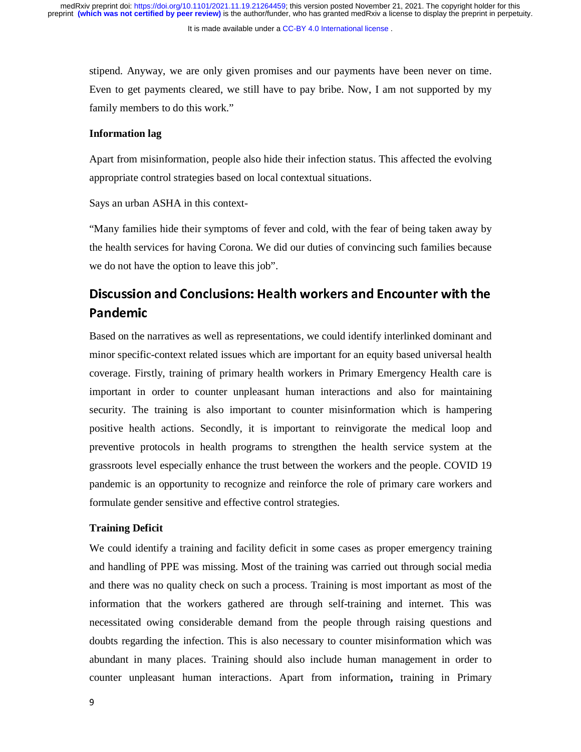stipend. Anyway, we are only given promises and our payments have been never on time. Even to get payments cleared, we still have to pay bribe. Now, I am not supported by my family members to do this work."

#### **Information lag**

Apart from misinformation, people also hide their infection status. This affected the evolving appropriate control strategies based on local contextual situations.

Says an urban ASHA in this context-

"Many families hide their symptoms of fever and cold, with the fear of being taken away by the health services for having Corona. We did our duties of convincing such families because we do not have the option to leave this job".

### Discussion and Conclusions: Health workers and Encounter with the Pandemic

Based on the narratives as well as representations, we could identify interlinked dominant and minor specific-context related issues which are important for an equity based universal health coverage. Firstly, training of primary health workers in Primary Emergency Health care is important in order to counter unpleasant human interactions and also for maintaining security. The training is also important to counter misinformation which is hampering positive health actions. Secondly, it is important to reinvigorate the medical loop and preventive protocols in health programs to strengthen the health service system at the grassroots level especially enhance the trust between the workers and the people. COVID 19 pandemic is an opportunity to recognize and reinforce the role of primary care workers and formulate gender sensitive and effective control strategies.

#### **Training Deficit**

We could identify a training and facility deficit in some cases as proper emergency training and handling of PPE was missing. Most of the training was carried out through social media and there was no quality check on such a process. Training is most important as most of the information that the workers gathered are through self-training and internet. This was necessitated owing considerable demand from the people through raising questions and doubts regarding the infection. This is also necessary to counter misinformation which was abundant in many places. Training should also include human management in order to counter unpleasant human interactions. Apart from information**,** training in Primary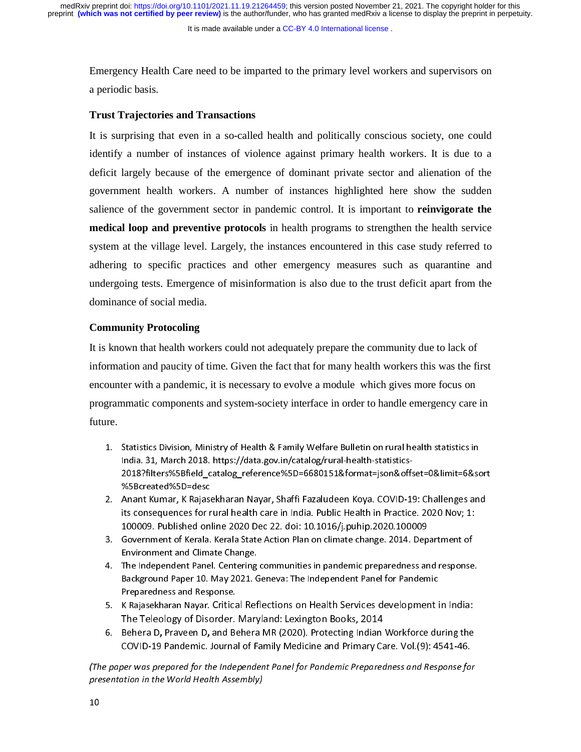preprint **(which was not certified by peer review)** is the author/funder, who has granted medRxiv a license to display the preprint in perpetuity. medRxiv preprint doi: [https://doi.org/10.1101/2021.11.19.21264459;](https://doi.org/10.1101/2021.11.19.21264459) this version posted November 21, 2021. The copyright holder for this

It is made available under a [CC-BY 4.0 International license](http://creativecommons.org/licenses/by/4.0/) .

Emergency Health Care need to be imparted to the primary level workers and supervisors on a periodic basis.

#### **Trust Trajectories and Transactions**

It is surprising that even in a so-called health and politically conscious society, one could identify a number of instances of violence against primary health workers. It is due to a deficit largely because of the emergence of dominant private sector and alienation of the government health workers. A number of instances highlighted here show the sudden salience of the government sector in pandemic control. It is important to **reinvigorate the medical loop and preventive protocols** in health programs to strengthen the health service system at the village level. Largely, the instances encountered in this case study referred to adhering to specific practices and other emergency measures such as quarantine and undergoing tests. Emergence of misinformation is also due to the trust deficit apart from the dominance of social media.

#### **Community Protocoling**

It is known that health workers could not adequately prepare the community due to lack of information and paucity of time. Given the fact that for many health workers this was the first encounter with a pandemic, it is necessary to evolve a module which gives more focus on programmatic components and system-society interface in order to handle emergency care in future.

- 1. Statistics Division, Ministry of Health & Family Welfare Bulletin on rural health statistics in India. 31, March 2018. https://data.gov.in/catalog/rural-health-statistics-2018?filters%5Bfield\_catalog\_reference%5D=6680151&format=json&offset=0&limit=6&sort %5Bcreated%5D=desc
- 2. Anant Kumar, K Rajasekharan Nayar, Shaffi Fazaludeen Koya. COVID-19: Challenges and its consequences for rural health care in India. Public Health in Practice. 2020 Nov; 1:<br>100009. Published online 2020 Dec 22. doi: 10.1016/j.puhip.2020.100009 100009. Published online 2020 Dec 22. doi: 10.1016/j.puhip.2020.100009
- 3. Government of Kerala. Kerala State Action Plan on climate change. 2014. Department of Environment and Climate Change.
- 4. The Independent Panel. Centering communities in pandemic preparedness and response. Background Paper 10. May 2021. Geneva: The Independent Panel for Pandemic Preparedness and Response.
- 5. K Rajasekharan Nayar. Critical Reflections on Health Services development in India: The Teleology of Disorder. Maryland: Lexington Books, 2014
- 6. Behera D, Praveen D, and Behera MR (2020). Protecting Indian Workforce during the COVID-19 Pandemic. Journal of Family Medicine and Primary Care. Vol.(9): 4541-46.

(The paper was prepared for the Independent Panel for Pandemic Preparedness and Response for presentation in the World Health Assembly)